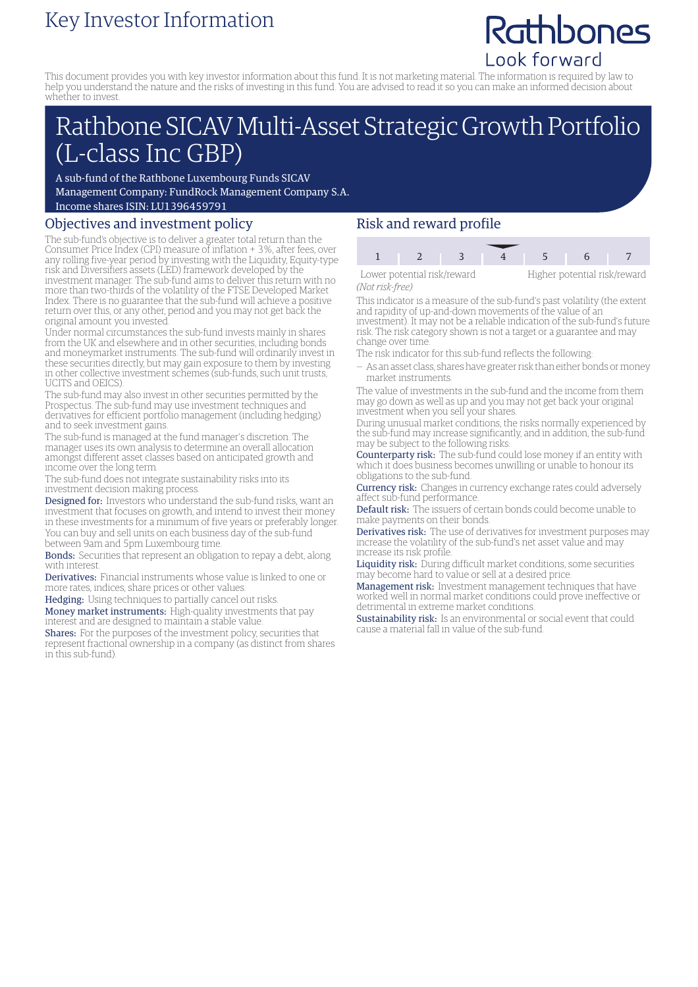# Key Investor Information

# Rathbones Look forward

This document provides you with key investor information about this fund. It is not marketing material. The information is required by law to help you understand the nature and the risks of investing in this fund. You are advised to read it so you can make an informed decision about whether to invest.

# Rathbone SICAV Multi-Asset Strategic Growth Portfolio (L-class Inc GBP)

A sub-fund of the Rathbone Luxembourg Funds SICAV Management Company: FundRock Management Company S.A.

Income shares ISIN: LU1396459791

## Objectives and investment policy

The sub-fund's objective is to deliver a greater total return than the Consumer Price Index (CPI) measure of inflation + 3%, after fees, over any rolling five-year period by investing with the Liquidity, Equity-type risk and Diversifiers assets (LED) framework developed by the investment manager. The sub-fund aims to deliver this return with no more than two-thirds of the volatility of the FTSE Developed Market Index. There is no guarantee that the sub-fund will achieve a positive return over this, or any other, period and you may not get back the original amount you invested.

Under normal circumstances the sub-fund invests mainly in shares from the UK and elsewhere and in other securities, including bonds and moneymarket instruments. The sub-fund will ordinarily invest in these securities directly, but may gain exposure to them by investing in other collective investment schemes (sub-funds, such unit trusts, UCITS and OEICS).

The sub-fund may also invest in other securities permitted by the Prospectus. The sub-fund may use investment techniques and derivatives for efficient portfolio management (including hedging) and to seek investment gains.

The sub-fund is managed at the fund manager's discretion. The manager uses its own analysis to determine an overall allocation amongst different asset classes based on anticipated growth and income over the long term.

The sub-fund does not integrate sustainability risks into its investment decision making process.

Designed for: Investors who understand the sub-fund risks, want an investment that focuses on growth, and intend to invest their money in these investments for a minimum of five years or preferably longer. You can buy and sell units on each business day of the sub-fund

between 9am and 5pm Luxembourg time.

Bonds: Securities that represent an obligation to repay a debt, along with interest.

Derivatives: Financial instruments whose value is linked to one or more rates, indices, share prices or other values.

Hedging: Using techniques to partially cancel out risks.

Money market instruments: High-quality investments that pay interest and are designed to maintain a stable value.

Shares: For the purposes of the investment policy, securities that represent fractional ownership in a company (as distinct from shares in this sub-fund).

## Risk and reward profile

| Lower potential risk/reward |  |  |  | Higher potential risk/reward |  |
|-----------------------------|--|--|--|------------------------------|--|

*(Not risk-free)*

This indicator is a measure of the sub-fund's past volatility (the extent and rapidity of up-and-down movements of the value of an investment). It may not be a reliable indication of the sub-fund's future risk. The risk category shown is not a target or a guarantee and may change over time.

The risk indicator for this sub-fund reflects the following:

— As an asset class, shares have greater risk than either bonds ormoney market instruments.

The value of investments in the sub-fund and the income from them may go down as well as up and you may not get back your original investment when you sell your shares.

During unusual market conditions, the risks normally experienced by the sub-fund may increase significantly, and in addition, the sub-fund may be subject to the following risks:

Counterparty risk: The sub-fund could lose money if an entity with which it does business becomes unwilling or unable to honour its obligations to the sub-fund.

**Currency risk:** Changes in currency exchange rates could adversely affect sub-fund performance.

Default risk: The issuers of certain bonds could become unable to make payments on their bonds.

Derivatives risk: The use of derivatives for investment purposes may increase the volatility of the sub-fund's net asset value and may increase its risk profile.

Liquidity risk: During difficult market conditions, some securities may become hard to value or sell at a desired price.

Management risk: Investment management techniques that have worked well in normal market conditions could prove ineffective or detrimental in extreme market conditions.

Sustainability risk: Is an environmental or social event that could cause a material fall in value of the sub-fund.